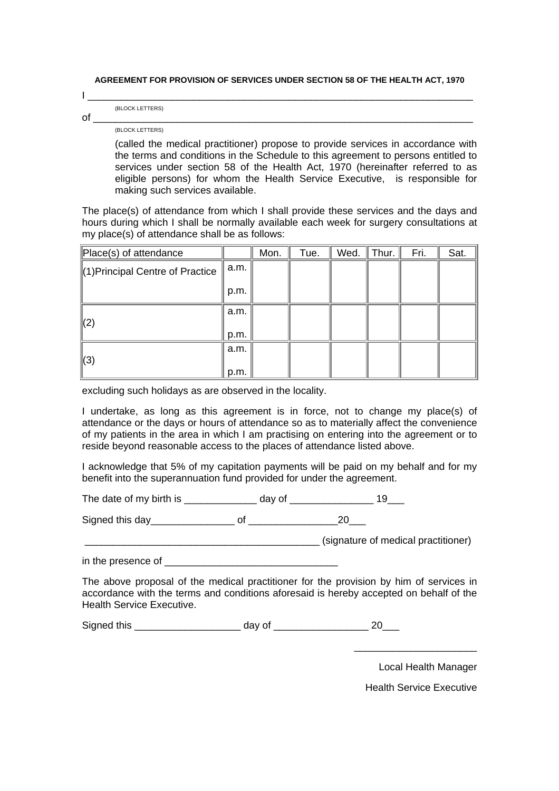**AGREEMENT FOR PROVISION OF SERVICES UNDER SECTION 58 OF THE HEALTH ACT, 1970** 

|             | (BLOCK LETTERS) |  |  |
|-------------|-----------------|--|--|
| $\sim$<br>v |                 |  |  |

(BLOCK LETTERS)

(called the medical practitioner) propose to provide services in accordance with the terms and conditions in the Schedule to this agreement to persons entitled to services under section 58 of the Health Act, 1970 (hereinafter referred to as eligible persons) for whom the Health Service Executive, is responsible for making such services available.

The place(s) of attendance from which I shall provide these services and the days and hours during which I shall be normally available each week for surgery consultations at my place(s) of attendance shall be as follows:

| Place(s) of attendance            |      | Mon. | Tue. | Wed. | Thur. | Fri. | Sat. |
|-----------------------------------|------|------|------|------|-------|------|------|
| ∥(1) Principal Centre of Practice | a.m. |      |      |      |       |      |      |
|                                   | p.m. |      |      |      |       |      |      |
| (2)                               | a.m. |      |      |      |       |      |      |
|                                   | p.m. |      |      |      |       |      |      |
| $\parallel$ (3)                   | a.m. |      |      |      |       |      |      |
|                                   | p.m. |      |      |      |       |      |      |

excluding such holidays as are observed in the locality.

I undertake, as long as this agreement is in force, not to change my place(s) of attendance or the days or hours of attendance so as to materially affect the convenience of my patients in the area in which I am practising on entering into the agreement or to reside beyond reasonable access to the places of attendance listed above.

I acknowledge that 5% of my capitation payments will be paid on my behalf and for my benefit into the superannuation fund provided for under the agreement.

The date of my birth is day of the date of my birth is  $\frac{19}{2}$ 

Signed this day\_\_\_\_\_\_\_\_\_\_\_\_\_\_\_ of \_\_\_\_\_\_\_\_\_\_\_\_\_\_\_\_20\_\_\_

\_\_\_\_\_\_\_\_\_\_\_\_\_\_\_\_\_\_\_\_\_\_\_\_\_\_\_\_\_\_\_\_\_\_\_\_\_\_\_\_\_\_ (signature of medical practitioner)

in the presence of

The above proposal of the medical practitioner for the provision by him of services in accordance with the terms and conditions aforesaid is hereby accepted on behalf of the Health Service Executive.

Signed this \_\_\_\_\_\_\_\_\_\_\_\_\_\_\_\_\_\_\_ day of \_\_\_\_\_\_\_\_\_\_\_\_\_\_\_\_\_ 20\_\_\_

Local Health Manager

Health Service Executive

\_\_\_\_\_\_\_\_\_\_\_\_\_\_\_\_\_\_\_\_\_\_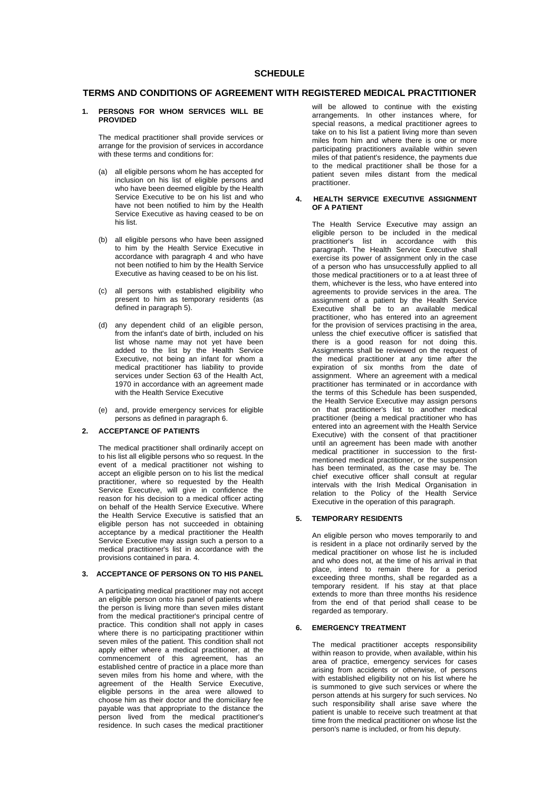## **TERMS AND CONDITIONS OF AGREEMENT WITH REGISTERED MEDICAL PRACTITIONER**

### **1. PERSONS FOR WHOM SERVICES WILL BE PROVIDED**

The medical practitioner shall provide services or arrange for the provision of services in accordance with these terms and conditions for:

- (a) all eligible persons whom he has accepted for inclusion on his list of eligible persons and who have been deemed eligible by the Health Service Executive to be on his list and who have not been notified to him by the Health Service Executive as having ceased to be on his list.
- (b) all eligible persons who have been assigned to him by the Health Service Executive in accordance with paragraph 4 and who have not been notified to him by the Health Service Executive as having ceased to be on his list.
- (c) all persons with established eligibility who present to him as temporary residents (as defined in paragraph 5).
- (d) any dependent child of an eligible person, from the infant's date of birth, included on his list whose name may not yet have been added to the list by the Health Service Executive, not being an infant for whom a medical practitioner has liability to provide services under Section 63 of the Health Act, 1970 in accordance with an agreement made with the Health Service Executive
- (e) and, provide emergency services for eligible persons as defined in paragraph 6.

## **2. ACCEPTANCE OF PATIENTS**

The medical practitioner shall ordinarily accept on to his list all eligible persons who so request. In the event of a medical practitioner not wishing to accept an eligible person on to his list the medical practitioner, where so requested by the Health Service Executive, will give in confidence the reason for his decision to a medical officer acting on behalf of the Health Service Executive. Where the Health Service Executive is satisfied that an eligible person has not succeeded in obtaining acceptance by a medical practitioner the Health Service Executive may assign such a person to a medical practitioner's list in accordance with the provisions contained in para. 4.

## **3. ACCEPTANCE OF PERSONS ON TO HIS PANEL**

A participating medical practitioner may not accept an eligible person onto his panel of patients where the person is living more than seven miles distant from the medical practitioner's principal centre of practice. This condition shall not apply in cases where there is no participating practitioner within seven miles of the patient. This condition shall not apply either where a medical practitioner, at the commencement of this agreement, has an established centre of practice in a place more than seven miles from his home and where, with the agreement of the Health Service Executive, eligible persons in the area were allowed to choose him as their doctor and the domiciliary fee payable was that appropriate to the distance the person lived from the medical practitioner's residence. In such cases the medical practitioner

will be allowed to continue with the existing arrangements. In other instances where, for special reasons, a medical practitioner agrees to take on to his list a patient living more than seven miles from him and where there is one or more participating practitioners available within seven miles of that patient's residence, the payments due to the medical practitioner shall be those for a patient seven miles distant from the medical practitioner.

### **4. HEALTH SERVICE EXECUTIVE ASSIGNMENT OF A PATIENT**

The Health Service Executive may assign an eligible person to be included in the medical practitioner's list in accordance with this paragraph. The Health Service Executive shall exercise its power of assignment only in the case of a person who has unsuccessfully applied to all those medical practitioners or to a at least three of them, whichever is the less, who have entered into agreements to provide services in the area. The assignment of a patient by the Health Service Executive shall be to an available medical practitioner, who has entered into an agreement for the provision of services practising in the area, unless the chief executive officer is satisfied that there is a good reason for not doing this. Assignments shall be reviewed on the request of the medical practitioner at any time after the expiration of six months from the date of assignment. Where an agreement with a medical practitioner has terminated or in accordance with the terms of this Schedule has been suspended, the Health Service Executive may assign persons on that practitioner's list to another medical practitioner (being a medical practitioner who has entered into an agreement with the Health Service Executive) with the consent of that practitioner until an agreement has been made with another medical practitioner in succession to the firstmentioned medical practitioner, or the suspension has been terminated, as the case may be. The chief executive officer shall consult at regular intervals with the Irish Medical Organisation in relation to the Policy of the Health Service Executive in the operation of this paragraph.

## **5. TEMPORARY RESIDENTS**

An eligible person who moves temporarily to and is resident in a place not ordinarily served by the medical practitioner on whose list he is included and who does not, at the time of his arrival in that place, intend to remain there for a period exceeding three months, shall be regarded as a temporary resident. If his stay at that place extends to more than three months his residence from the end of that period shall cease to be regarded as temporary.

## **6. EMERGENCY TREATMENT**

The medical practitioner accepts responsibility within reason to provide, when available, within his area of practice, emergency services for cases arising from accidents or otherwise, of persons with established eligibility not on his list where he is summoned to give such services or where the person attends at his surgery for such services. No such responsibility shall arise save where the patient is unable to receive such treatment at that time from the medical practitioner on whose list the person's name is included, or from his deputy.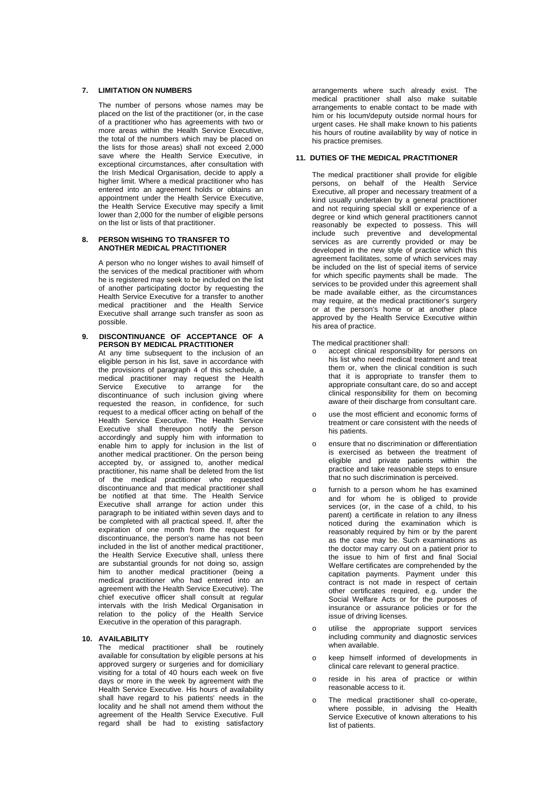### **7. LIMITATION ON NUMBERS**

The number of persons whose names may be placed on the list of the practitioner (or, in the case of a practitioner who has agreements with two or more areas within the Health Service Executive. the total of the numbers which may be placed on the lists for those areas) shall not exceed 2,000 save where the Health Service Executive, in exceptional circumstances, after consultation with the Irish Medical Organisation, decide to apply a higher limit. Where a medical practitioner who has entered into an agreement holds or obtains an appointment under the Health Service Executive, the Health Service Executive may specify a limit lower than 2,000 for the number of eligible persons on the list or lists of that practitioner.

### **8. PERSON WISHING TO TRANSFER TO ANOTHER MEDICAL PRACTITIONER**

A person who no longer wishes to avail himself of the services of the medical practitioner with whom he is registered may seek to be included on the list of another participating doctor by requesting the Health Service Executive for a transfer to another medical practitioner and the Health Service Executive shall arrange such transfer as soon as possible.

**9. DISCONTINUANCE OF ACCEPTANCE OF A PERSON BY MEDICAL PRACTITIONER**  At any time subsequent to the inclusion of an

eligible person in his list, save in accordance with the provisions of paragraph 4 of this schedule, a medical practitioner may request the Health<br>Service Executive to arrange for the Executive to arrange for the discontinuance of such inclusion giving where requested the reason, in confidence, for such request to a medical officer acting on behalf of the Health Service Executive. The Health Service Executive shall thereupon notify the person accordingly and supply him with information to enable him to apply for inclusion in the list of another medical practitioner. On the person being accepted by, or assigned to, another medical practitioner, his name shall be deleted from the list of the medical practitioner who requested discontinuance and that medical practitioner shall be notified at that time. The Health Service Executive shall arrange for action under this paragraph to be initiated within seven days and to be completed with all practical speed. If, after the expiration of one month from the request for discontinuance, the person's name has not been included in the list of another medical practitioner, the Health Service Executive shall, unless there are substantial grounds for not doing so, assign him to another medical practitioner (being a medical practitioner who had entered into an agreement with the Health Service Executive). The chief executive officer shall consult at regular intervals with the Irish Medical Organisation in relation to the policy of the Health Service Executive in the operation of this paragraph.

### **10. AVAILABILITY**

The medical practitioner shall be routinely available for consultation by eligible persons at his approved surgery or surgeries and for domiciliary visiting for a total of 40 hours each week on five days or more in the week by agreement with the Health Service Executive. His hours of availability shall have regard to his patients' needs in the locality and he shall not amend them without the agreement of the Health Service Executive. Full regard shall be had to existing satisfactory

arrangements where such already exist. The medical practitioner shall also make suitable arrangements to enable contact to be made with him or his locum/deputy outside normal hours for urgent cases. He shall make known to his patients his hours of routine availability by way of notice in his practice premises.

### **11. DUTIES OF THE MEDICAL PRACTITIONER**

The medical practitioner shall provide for eligible persons, on behalf of the Health Service Executive, all proper and necessary treatment of a kind usually undertaken by a general practitioner and not requiring special skill or experience of a degree or kind which general practitioners cannot reasonably be expected to possess. This will include such preventive and developmental services as are currently provided or may be developed in the new style of practice which this agreement facilitates, some of which services may be included on the list of special items of service for which specific payments shall be made. The services to be provided under this agreement shall be made available either, as the circumstances may require, at the medical practitioner's surgery or at the person's home or at another place approved by the Health Service Executive within his area of practice.

The medical practitioner shall:

- accept clinical responsibility for persons on his list who need medical treatment and treat them or, when the clinical condition is such that it is appropriate to transfer them to appropriate consultant care, do so and accept clinical responsibility for them on becoming aware of their discharge from consultant care.
- o use the most efficient and economic forms of treatment or care consistent with the needs of his patients.
- o ensure that no discrimination or differentiation is exercised as between the treatment of eligible and private patients within the practice and take reasonable steps to ensure that no such discrimination is perceived.
- furnish to a person whom he has examined and for whom he is obliged to provide services (or, in the case of a child, to his parent) a certificate in relation to any illness noticed during the examination which is reasonably required by him or by the parent as the case may be. Such examinations as the doctor may carry out on a patient prior to the issue to him of first and final Social Welfare certificates are comprehended by the capitation payments. Payment under this contract is not made in respect of certain other certificates required, e.g. under the Social Welfare Acts or for the purposes of insurance or assurance policies or for the issue of driving licenses.
- o utilise the appropriate support services including community and diagnostic services when available.
- o keep himself informed of developments in clinical care relevant to general practice.
- o reside in his area of practice or within reasonable access to it.
- o The medical practitioner shall co-operate, where possible, in advising the Health Service Executive of known alterations to his list of patients.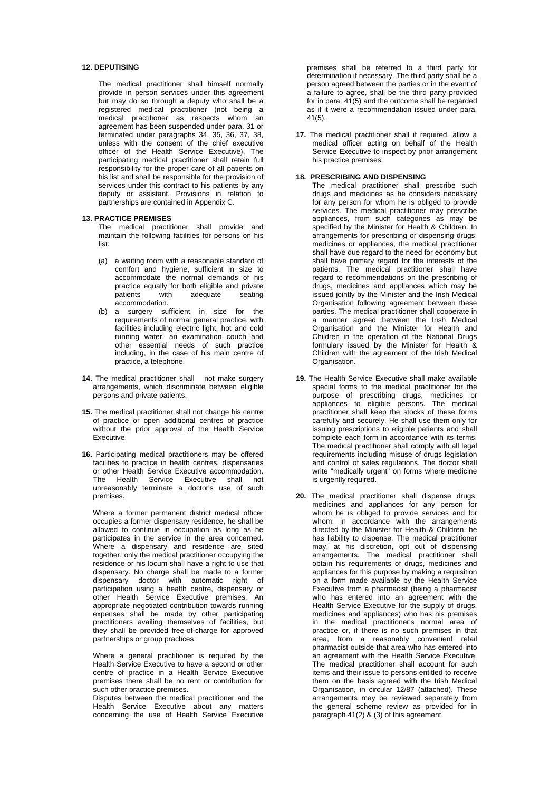## **12. DEPUTISING**

The medical practitioner shall himself normally provide in person services under this agreement but may do so through a deputy who shall be a registered medical practitioner (not being a medical practitioner as respects whom an agreement has been suspended under para. 31 or terminated under paragraphs 34, 35, 36, 37, 38, unless with the consent of the chief executive officer of the Health Service Executive). The participating medical practitioner shall retain full responsibility for the proper care of all patients on his list and shall be responsible for the provision of services under this contract to his patients by any deputy or assistant. Provisions in relation to partnerships are contained in Appendix C.

### **13. PRACTICE PREMISES**

The medical practitioner shall provide and maintain the following facilities for persons on his list:

- (a) a waiting room with a reasonable standard of comfort and hygiene, sufficient in size to accommodate the normal demands of his practice equally for both eligible and private patients with adequate seating accommodation.
- (b) a surgery sufficient in size for the requirements of normal general practice, with facilities including electric light, hot and cold running water, an examination couch and other essential needs of such practice including, in the case of his main centre of practice, a telephone.
- **14.** The medical practitioner shall not make surgery arrangements, which discriminate between eligible persons and private patients.
- **15.** The medical practitioner shall not change his centre of practice or open additional centres of practice without the prior approval of the Health Service Executive.
- 16. Participating medical practitioners may be offered facilities to practice in health centres, dispensaries or other Health Service Executive accommodation.<br>The Health Service Executive shall not Health Service Executive shall not unreasonably terminate a doctor's use of such premises.

Where a former permanent district medical officer occupies a former dispensary residence, he shall be allowed to continue in occupation as long as he participates in the service in the area concerned. Where a dispensary and residence are sited together, only the medical practitioner occupying the residence or his locum shall have a right to use that dispensary. No charge shall be made to a former dispensary doctor with automatic right of participation using a health centre, dispensary or other Health Service Executive premises. An appropriate negotiated contribution towards running expenses shall be made by other participating practitioners availing themselves of facilities, but they shall be provided free-of-charge for approved partnerships or group practices.

Where a general practitioner is required by the Health Service Executive to have a second or other centre of practice in a Health Service Executive premises there shall be no rent or contribution for such other practice premises.

Disputes between the medical practitioner and the Health Service Executive about any matters concerning the use of Health Service Executive premises shall be referred to a third party for determination if necessary. The third party shall be a person agreed between the parties or in the event of a failure to agree, shall be the third party provided for in para. 41(5) and the outcome shall be regarded as if it were a recommendation issued under para. 41(5).

**17.** The medical practitioner shall if required, allow a medical officer acting on behalf of the Health Service Executive to inspect by prior arrangement his practice premises.

### **18. PRESCRIBING AND DISPENSING**

- The medical practitioner shall prescribe such drugs and medicines as he considers necessary for any person for whom he is obliged to provide services. The medical practitioner may prescribe appliances, from such categories as may be specified by the Minister for Health & Children. In arrangements for prescribing or dispensing drugs, medicines or appliances, the medical practitioner shall have due regard to the need for economy but shall have primary regard for the interests of the patients. The medical practitioner shall have regard to recommendations on the prescribing of drugs, medicines and appliances which may be issued jointly by the Minister and the Irish Medical Organisation following agreement between these parties. The medical practitioner shall cooperate in a manner agreed between the Irish Medical Organisation and the Minister for Health and Children in the operation of the National Drugs formulary issued by the Minister for Health & Children with the agreement of the Irish Medical Organisation.
- **19.** The Health Service Executive shall make available special forms to the medical practitioner for the purpose of prescribing drugs, medicines or appliances to eligible persons. The medical practitioner shall keep the stocks of these forms carefully and securely. He shall use them only for issuing prescriptions to eligible patients and shall complete each form in accordance with its terms. The medical practitioner shall comply with all legal requirements including misuse of drugs legislation and control of sales regulations. The doctor shall write "medically urgent" on forms where medicine is urgently required.
- **20.** The medical practitioner shall dispense drugs, medicines and appliances for any person for whom he is obliged to provide services and for whom, in accordance with the arrangements directed by the Minister for Health & Children, he has liability to dispense. The medical practitioner may, at his discretion, opt out of dispensing arrangements. The medical practitioner shall obtain his requirements of drugs, medicines and appliances for this purpose by making a requisition on a form made available by the Health Service Executive from a pharmacist (being a pharmacist who has entered into an agreement with the Health Service Executive for the supply of drugs, medicines and appliances) who has his premises in the medical practitioner's normal area of practice or, if there is no such premises in that area, from a reasonably convenient retail pharmacist outside that area who has entered into an agreement with the Health Service Executive. The medical practitioner shall account for such items and their issue to persons entitled to receive them on the basis agreed with the Irish Medical Organisation, in circular 12/87 (attached). These arrangements may be reviewed separately from the general scheme review as provided for in paragraph 41(2) & (3) of this agreement.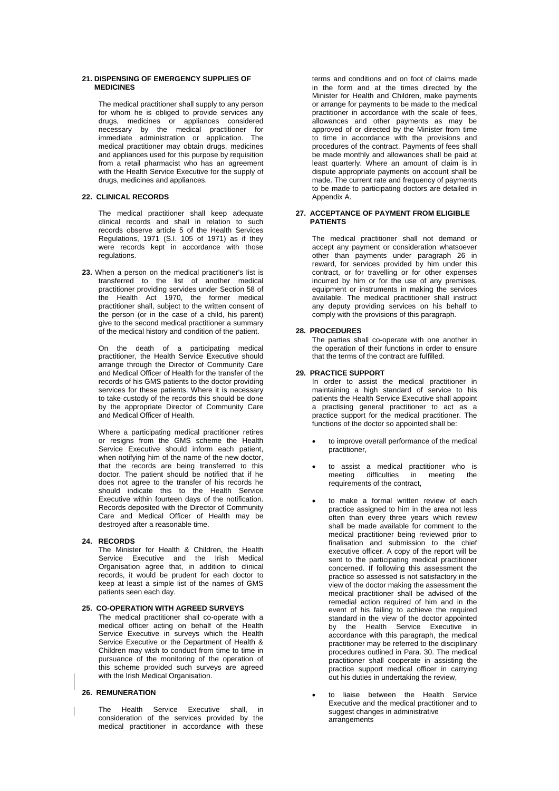### **21. DISPENSING OF EMERGENCY SUPPLIES OF MEDICINES**

The medical practitioner shall supply to any person for whom he is obliged to provide services any drugs, medicines or appliances considered necessary by the medical practitioner for immediate administration or application. The medical practitioner may obtain drugs, medicines and appliances used for this purpose by requisition from a retail pharmacist who has an agreement with the Health Service Executive for the supply of drugs, medicines and appliances.

## **22. CLINICAL RECORDS**

The medical practitioner shall keep adequate clinical records and shall in relation to such records observe article 5 of the Health Services Regulations, 1971 (S.I. 105 of 1971) as if they were records kept in accordance with those regulations.

**23.** When a person on the medical practitioner's list is transferred to the list of another medical practitioner providing servides under Section 58 of the Health Act 1970, the former medical practitioner shall, subject to the written consent of the person (or in the case of a child, his parent) give to the second medical practitioner a summary of the medical history and condition of the patient.

On the death of a participating medical practitioner, the Health Service Executive should arrange through the Director of Community Care and Medical Officer of Health for the transfer of the records of his GMS patients to the doctor providing services for these patients. Where it is necessary to take custody of the records this should be done by the appropriate Director of Community Care and Medical Officer of Health.

Where a participating medical practitioner retires or resigns from the GMS scheme the Health Service Executive should inform each patient, when notifying him of the name of the new doctor, that the records are being transferred to this doctor. The patient should be notified that if he does not agree to the transfer of his records he should indicate this to the Health Service Executive within fourteen days of the notification. Records deposited with the Director of Community Care and Medical Officer of Health may be destroyed after a reasonable time.

### **24. RECORDS**

The Minister for Health & Children, the Health Service Executive and the Irish Medical Organisation agree that, in addition to clinical records, it would be prudent for each doctor to keep at least a simple list of the names of GMS patients seen each day.

## **25. CO-OPERATION WITH AGREED SURVEYS**

The medical practitioner shall co-operate with a medical officer acting on behalf of the Health Service Executive in surveys which the Health Service Executive or the Department of Health & Children may wish to conduct from time to time in pursuance of the monitoring of the operation of this scheme provided such surveys are agreed with the Irish Medical Organisation.

### **26. REMUNERATION**

The Health Service Executive shall, in consideration of the services provided by the medical practitioner in accordance with these

terms and conditions and on foot of claims made in the form and at the times directed by the Minister for Health and Children, make payments or arrange for payments to be made to the medical practitioner in accordance with the scale of fees, allowances and other payments as may be approved of or directed by the Minister from time to time in accordance with the provisions and procedures of the contract. Payments of fees shall be made monthly and allowances shall be paid at least quarterly. Where an amount of claim is in dispute appropriate payments on account shall be made. The current rate and frequency of payments to be made to participating doctors are detailed in Appendix A.

### **27. ACCEPTANCE OF PAYMENT FROM ELIGIBLE PATIENTS**

The medical practitioner shall not demand or accept any payment or consideration whatsoever other than payments under paragraph 26 in reward, for services provided by him under this contract, or for travelling or for other expenses incurred by him or for the use of any premises, equipment or instruments in making the services available. The medical practitioner shall instruct any deputy providing services on his behalf to comply with the provisions of this paragraph.

### **28. PROCEDURES**

The parties shall co-operate with one another in the operation of their functions in order to ensure that the terms of the contract are fulfilled.

### **29. PRACTICE SUPPORT**

In order to assist the medical practitioner in maintaining a high standard of service to his patients the Health Service Executive shall appoint a practising general practitioner to act as a practice support for the medical practitioner. The functions of the doctor so appointed shall be:

- to improve overall performance of the medical practitioner,
- to assist a medical practitioner who is meeting difficulties in meeting the requirements of the contract,
- to make a formal written review of each practice assigned to him in the area not less often than every three years which review shall be made available for comment to the medical practitioner being reviewed prior to finalisation and submission to the chief executive officer. A copy of the report will be sent to the participating medical practitioner concerned. If following this assessment the practice so assessed is not satisfactory in the view of the doctor making the assessment the medical practitioner shall be advised of the remedial action required of him and in the event of his failing to achieve the required standard in the view of the doctor appointed by the Health Service Executive in accordance with this paragraph, the medical practitioner may be referred to the disciplinary procedures outlined in Para. 30. The medical practitioner shall cooperate in assisting the practice support medical officer in carrying out his duties in undertaking the review,
- to liaise between the Health Service Executive and the medical practitioner and to suggest changes in administrative arrangements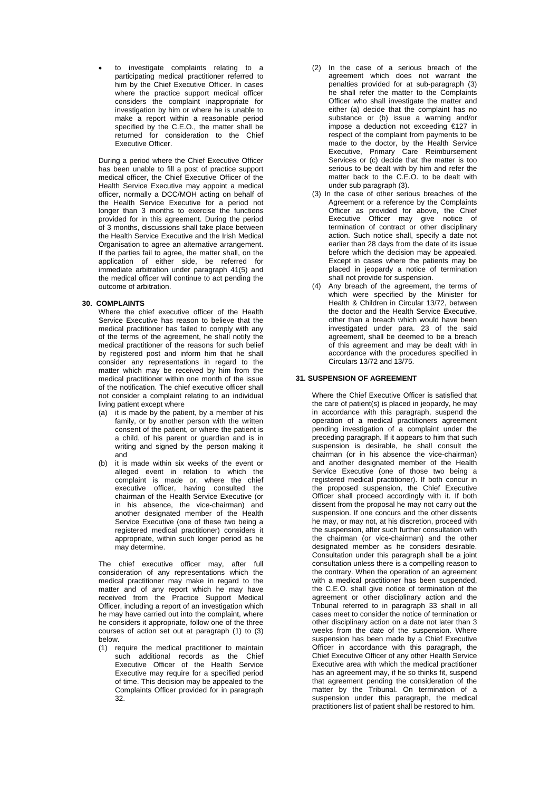• to investigate complaints relating to a participating medical practitioner referred to him by the Chief Executive Officer. In cases where the practice support medical officer considers the complaint inappropriate for investigation by him or where he is unable to make a report within a reasonable period specified by the C.E.O., the matter shall be returned for consideration to the Chief Executive Officer.

During a period where the Chief Executive Officer has been unable to fill a post of practice support medical officer, the Chief Executive Officer of the Health Service Executive may appoint a medical officer, normally a DCC/MOH acting on behalf of the Health Service Executive for a period not longer than 3 months to exercise the functions provided for in this agreement. During the period of 3 months, discussions shall take place between the Health Service Executive and the Irish Medical Organisation to agree an alternative arrangement. If the parties fail to agree, the matter shall, on the application of either side, be referred for immediate arbitration under paragraph 41(5) and the medical officer will continue to act pending the outcome of arbitration.

### **30. COMPLAINTS**

Where the chief executive officer of the Health Service Executive has reason to believe that the medical practitioner has failed to comply with any of the terms of the agreement, he shall notify the medical practitioner of the reasons for such belief by registered post and inform him that he shall consider any representations in regard to the matter which may be received by him from the medical practitioner within one month of the issue of the notification. The chief executive officer shall not consider a complaint relating to an individual living patient except where

- (a) it is made by the patient, by a member of his family, or by another person with the written consent of the patient, or where the patient is a child, of his parent or guardian and is in writing and signed by the person making it and
- (b) it is made within six weeks of the event or alleged event in relation to which the complaint is made or, where the chief executive officer, having consulted the chairman of the Health Service Executive (or in his absence, the vice-chairman) and another designated member of the Health Service Executive (one of these two being a registered medical practitioner) considers it appropriate, within such longer period as he may determine.

The chief executive officer may, after full consideration of any representations which the medical practitioner may make in regard to the matter and of any report which he may have received from the Practice Support Medical Officer, including a report of an investigation which he may have carried out into the complaint, where he considers it appropriate, follow one of the three courses of action set out at paragraph (1) to (3) below.

(1) require the medical practitioner to maintain such additional records as the Chief Executive Officer of the Health Service Executive may require for a specified period of time. This decision may be appealed to the Complaints Officer provided for in paragraph 32.

- (2) In the case of a serious breach of the agreement which does not warrant the penalties provided for at sub-paragraph (3) he shall refer the matter to the Complaints Officer who shall investigate the matter and either (a) decide that the complaint has no substance or (b) issue a warning and/or impose a deduction not exceeding €127 in respect of the complaint from payments to be made to the doctor, by the Health Service Executive, Primary Care Reimbursement Services or (c) decide that the matter is too serious to be dealt with by him and refer the matter back to the C.E.O. to be dealt with under sub paragraph (3).
- (3) In the case of other serious breaches of the Agreement or a reference by the Complaints Officer as provided for above, the Chief Executive Officer may give notice of termination of contract or other disciplinary action. Such notice shall, specify a date not earlier than 28 days from the date of its issue before which the decision may be appealed. Except in cases where the patients may be placed in jeopardy a notice of termination shall not provide for suspension.
- (4) Any breach of the agreement, the terms of which were specified by the Minister for Health & Children in Circular 13/72, between the doctor and the Health Service Executive, other than a breach which would have been investigated under para. 23 of the said agreement, shall be deemed to be a breach of this agreement and may be dealt with in accordance with the procedures specified in Circulars 13/72 and 13/75.

### **31. SUSPENSION OF AGREEMENT**

Where the Chief Executive Officer is satisfied that the care of patient(s) is placed in jeopardy, he may in accordance with this paragraph, suspend the operation of a medical practitioners agreement pending investigation of a complaint under the preceding paragraph. If it appears to him that such suspension is desirable, he shall consult the chairman (or in his absence the vice-chairman) and another designated member of the Health Service Executive (one of those two being a registered medical practitioner). If both concur in the proposed suspension, the Chief Executive Officer shall proceed accordingly with it. If both dissent from the proposal he may not carry out the suspension. If one concurs and the other dissents he may, or may not, at his discretion, proceed with the suspension, after such further consultation with the chairman (or vice-chairman) and the other designated member as he considers desirable. Consultation under this paragraph shall be a joint consultation unless there is a compelling reason to the contrary. When the operation of an agreement with a medical practitioner has been suspended, the C.E.O. shall give notice of termination of the agreement or other disciplinary action and the Tribunal referred to in paragraph 33 shall in all cases meet to consider the notice of termination or other disciplinary action on a date not later than 3 weeks from the date of the suspension. Where suspension has been made by a Chief Executive Officer in accordance with this paragraph, the Chief Executive Officer of any other Health Service Executive area with which the medical practitioner has an agreement may, if he so thinks fit, suspend that agreement pending the consideration of the matter by the Tribunal. On termination of a suspension under this paragraph, the medical practitioners list of patient shall be restored to him.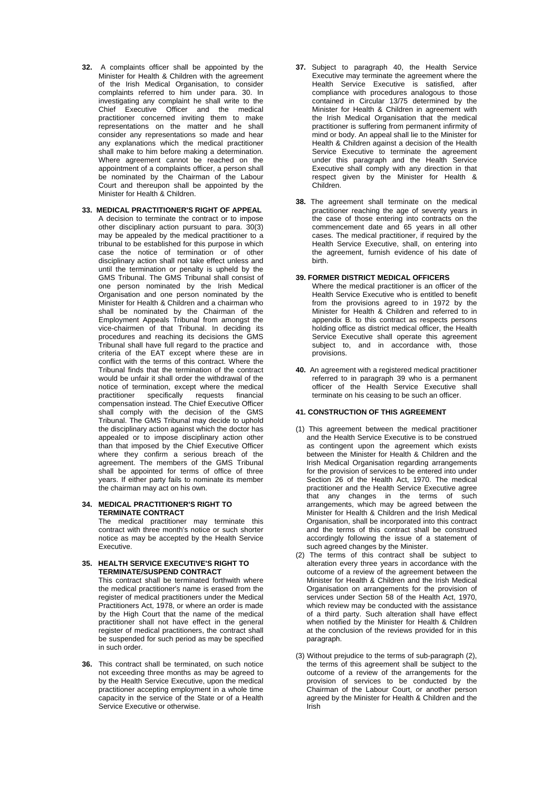**32.** A complaints officer shall be appointed by the Minister for Health & Children with the agreement of the Irish Medical Organisation, to consider complaints referred to him under para. 30. In investigating any complaint he shall write to the Chief Executive Officer and the medical practitioner concerned inviting them to make representations on the matter and he shall consider any representations so made and hear any explanations which the medical practitioner shall make to him before making a determination. Where agreement cannot be reached on the appointment of a complaints officer, a person shall be nominated by the Chairman of the Labour Court and thereupon shall be appointed by the Minister for Health & Children.

### **33. MEDICAL PRACTITIONER'S RIGHT OF APPEAL**  A decision to terminate the contract or to impose

other disciplinary action pursuant to para. 30(3) may be appealed by the medical practitioner to a tribunal to be established for this purpose in which case the notice of termination or of other disciplinary action shall not take effect unless and until the termination or penalty is upheld by the GMS Tribunal. The GMS Tribunal shall consist of one person nominated by the Irish Medical Organisation and one person nominated by the Minister for Health & Children and a chairman who shall be nominated by the Chairman of the Employment Appeals Tribunal from amongst the vice-chairmen of that Tribunal. In deciding its procedures and reaching its decisions the GMS Tribunal shall have full regard to the practice and criteria of the EAT except where these are in conflict with the terms of this contract. Where the Tribunal finds that the termination of the contract would be unfair it shall order the withdrawal of the notice of termination, except where the medical practitioner specifically requests financial compensation instead. The Chief Executive Officer shall comply with the decision of the GMS Tribunal. The GMS Tribunal may decide to uphold the disciplinary action against which the doctor has appealed or to impose disciplinary action other than that imposed by the Chief Executive Officer where they confirm a serious breach of the agreement. The members of the GMS Tribunal shall be appointed for terms of office of three years. If either party fails to nominate its member the chairman may act on his own.

### **34. MEDICAL PRACTITIONER'S RIGHT TO TERMINATE CONTRACT**

The medical practitioner may terminate this contract with three month's notice or such shorter notice as may be accepted by the Health Service Executive.

## **35. HEALTH SERVICE EXECUTIVE'S RIGHT TO TERMINATE/SUSPEND CONTRACT**

This contract shall be terminated forthwith where the medical practitioner's name is erased from the register of medical practitioners under the Medical Practitioners Act, 1978, or where an order is made by the High Court that the name of the medical practitioner shall not have effect in the general register of medical practitioners, the contract shall be suspended for such period as may be specified in such order.

**36.** This contract shall be terminated, on such notice not exceeding three months as may be agreed to by the Health Service Executive, upon the medical practitioner accepting employment in a whole time capacity in the service of the State or of a Health Service Executive or otherwise.

- **37.** Subject to paragraph 40, the Health Service Executive may terminate the agreement where the Health Service Executive is satisfied, after compliance with procedures analogous to those contained in Circular 13/75 determined by the Minister for Health & Children in agreement with the Irish Medical Organisation that the medical practitioner is suffering from permanent infirmity of mind or body. An appeal shall lie to the Minister for Health & Children against a decision of the Health Service Executive to terminate the agreement under this paragraph and the Health Service Executive shall comply with any direction in that respect given by the Minister for Health & Children.
- **38.** The agreement shall terminate on the medical practitioner reaching the age of seventy years in the case of those entering into contracts on the commencement date and 65 years in all other cases. The medical practitioner, if required by the Health Service Executive, shall, on entering into the agreement, furnish evidence of his date of birth.

## **39. FORMER DISTRICT MEDICAL OFFICERS**

- Where the medical practitioner is an officer of the Health Service Executive who is entitled to benefit from the provisions agreed to in 1972 by the Minister for Health & Children and referred to in appendix B. to this contract as respects persons holding office as district medical officer, the Health Service Executive shall operate this agreement subject to, and in accordance with, those provisions.
- **40.** An agreement with a registered medical practitioner referred to in paragraph 39 who is a permanent officer of the Health Service Executive shall terminate on his ceasing to be such an officer.

## **41. CONSTRUCTION OF THIS AGREEMENT**

- (1) This agreement between the medical practitioner and the Health Service Executive is to be construed as contingent upon the agreement which exists between the Minister for Health & Children and the Irish Medical Organisation regarding arrangements for the provision of services to be entered into under Section 26 of the Health Act, 1970. The medical practitioner and the Health Service Executive agree that any changes in the terms of such arrangements, which may be agreed between the Minister for Health & Children and the Irish Medical Organisation, shall be incorporated into this contract and the terms of this contract shall be construed accordingly following the issue of a statement of such agreed changes by the Minister.
- (2) The terms of this contract shall be subject to alteration every three years in accordance with the outcome of a review of the agreement between the Minister for Health & Children and the Irish Medical Organisation on arrangements for the provision of services under Section 58 of the Health Act, 1970. which review may be conducted with the assistance of a third party. Such alteration shall have effect when notified by the Minister for Health & Children at the conclusion of the reviews provided for in this paragraph.
- (3) Without prejudice to the terms of sub-paragraph (2), the terms of this agreement shall be subject to the outcome of a review of the arrangements for the provision of services to be conducted by the Chairman of the Labour Court, or another person agreed by the Minister for Health & Children and the Irish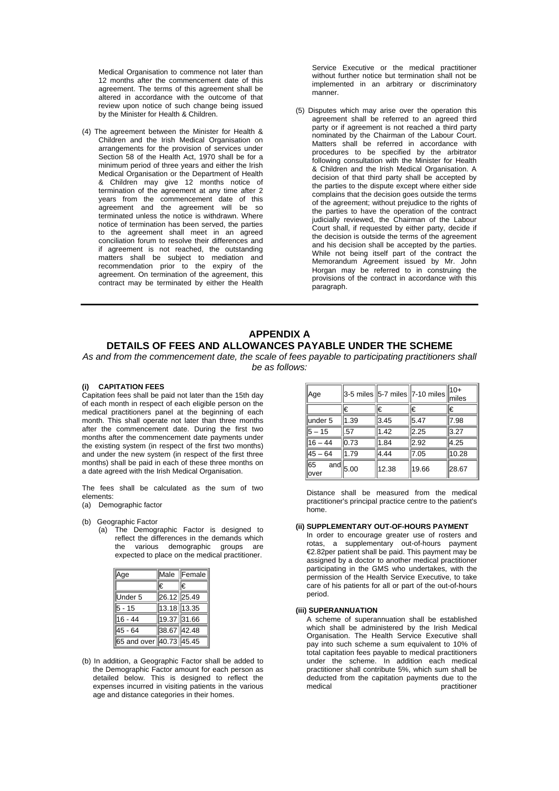Medical Organisation to commence not later than 12 months after the commencement date of this agreement. The terms of this agreement shall be altered in accordance with the outcome of that review upon notice of such change being issued by the Minister for Health & Children.

(4) The agreement between the Minister for Health & Children and the Irish Medical Organisation on arrangements for the provision of services under Section 58 of the Health Act, 1970 shall be for a minimum period of three years and either the Irish Medical Organisation or the Department of Health & Children may give 12 months notice of termination of the agreement at any time after 2 years from the commencement date of this agreement and the agreement will be so terminated unless the notice is withdrawn. Where notice of termination has been served, the parties to the agreement shall meet in an agreed conciliation forum to resolve their differences and if agreement is not reached, the outstanding matters shall be subject to mediation and recommendation prior to the expiry of the agreement. On termination of the agreement, this contract may be terminated by either the Health

Service Executive or the medical practitioner without further notice but termination shall not be implemented in an arbitrary or discriminatory manner.

(5) Disputes which may arise over the operation this agreement shall be referred to an agreed third party or if agreement is not reached a third party nominated by the Chairman of the Labour Court. Matters shall be referred in accordance with procedures to be specified by the arbitrator following consultation with the Minister for Health & Children and the Irish Medical Organisation. A decision of that third party shall be accepted by the parties to the dispute except where either side complains that the decision goes outside the terms of the agreement; without prejudice to the rights of the parties to have the operation of the contract judicially reviewed, the Chairman of the Labour Court shall, if requested by either party, decide if the decision is outside the terms of the agreement and his decision shall be accepted by the parties. While not being itself part of the contract the Memorandum Agreement issued by Mr. John Horgan may be referred to in construing the provisions of the contract in accordance with this paragraph.

## **APPENDIX A DETAILS OF FEES AND ALLOWANCES PAYABLE UNDER THE SCHEME**

*As and from the commencement date, the scale of fees payable to participating practitioners shall be as follows:* 

### **(i) CAPITATION FEES**

Capitation fees shall be paid not later than the 15th day of each month in respect of each eligible person on the medical practitioners panel at the beginning of each month. This shall operate not later than three months after the commencement date. During the first two months after the commencement date payments under the existing system (in respect of the first two months) and under the new system (in respect of the first three months) shall be paid in each of these three months on a date agreed with the Irish Medical Organisation.

The fees shall be calculated as the sum of two elements:

(a) Demographic factor

(b) Geographic Factor

(a) The Demographic Factor is designed to reflect the differences in the demands which the various demographic groups are expected to place on the medical practitioner.

| Age                     |             | Male Female |
|-------------------------|-------------|-------------|
|                         | I€          | I€          |
| Under 5                 | 26.12 25.49 |             |
| 5 - 15                  | 13.18 13.35 |             |
| 16 - 44                 | 19.37 31.66 |             |
| 45 - 64                 | 38.67 42.48 |             |
| 65 and over 40.73 45.45 |             |             |

(b) In addition, a Geographic Factor shall be added to the Demographic Factor amount for each person as detailed below. This is designed to reflect the expenses incurred in visiting patients in the various age and distance categories in their homes.

| Age          | $3-5$ miles 5-7 miles 7-10 miles |       |       | ∥10+<br>miles |
|--------------|----------------------------------|-------|-------|---------------|
|              | I€                               | I€    | €     | I€            |
| under 5      | 1.39                             | 3.45  | 5.47  | 17.98         |
| $5 - 15$     | 1.57                             | 1.42  | 2.25  | 3.27          |
| $ 16 - 44$   | 0.73                             | 1.84  | 2.92  | 4.25          |
| $45 - 64$    | 1.79                             | 4.44  | 7.05  | 10.28         |
| $65$<br>over | $\lim_{\text{and}}$ 5.00         | 12.38 | 19.66 | 28.67         |

Distance shall be measured from the medical practitioner's principal practice centre to the patient's home.

#### **(ii) SUPPLEMENTARY OUT-OF-HOURS PAYMENT**

In order to encourage greater use of rosters and rotas, a supplementary out-of-hours payment €2.82per patient shall be paid. This payment may be assigned by a doctor to another medical practitioner participating in the GMS who undertakes, with the permission of the Health Service Executive, to take care of his patients for all or part of the out-of-hours period.

### **(iii) SUPERANNUATION**

A scheme of superannuation shall be established which shall be administered by the Irish Medical Organisation. The Health Service Executive shall pay into such scheme a sum equivalent to 10% of total capitation fees payable to medical practitioners under the scheme. In addition each medical practitioner shall contribute 5%, which sum shall be deducted from the capitation payments due to the nractitioner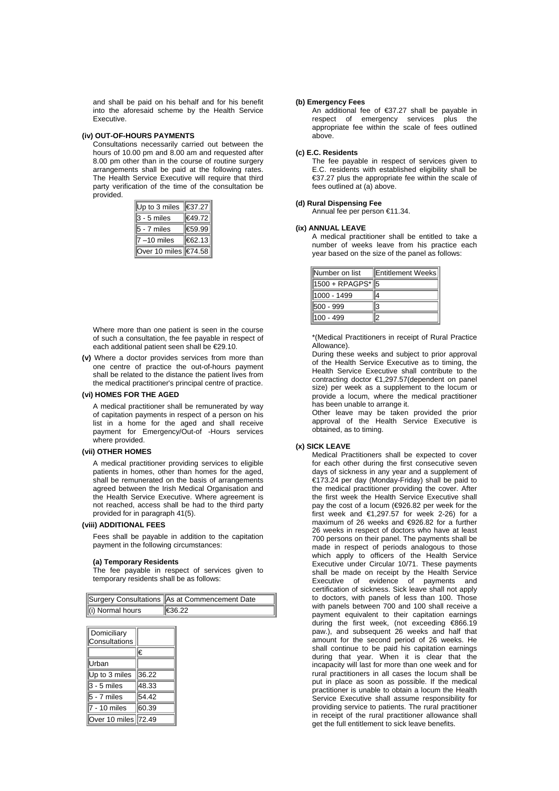and shall be paid on his behalf and for his benefit into the aforesaid scheme by the Health Service Executive.

## **(iv) OUT-OF-HOURS PAYMENTS**

Consultations necessarily carried out between the hours of 10.00 pm and 8.00 am and requested after 8.00 pm other than in the course of routine surgery arrangements shall be paid at the following rates. The Health Service Executive will require that third party verification of the time of the consultation be provided.

| Up to 3 miles                | ∥€37.27 |
|------------------------------|---------|
| $3 - 5$ miles                | €49.72  |
| $5 - 7$ miles                | 1€59.99 |
| $7 - 10$ miles               | €62.13  |
| Over 10 miles <i>₹</i> 74.58 |         |

Where more than one patient is seen in the course of such a consultation, the fee payable in respect of each additional patient seen shall be €29.10.

**(v)** Where a doctor provides services from more than one centre of practice the out-of-hours payment shall be related to the distance the patient lives from the medical practitioner's principal centre of practice.

## **(vi) HOMES FOR THE AGED**

A medical practitioner shall be remunerated by way of capitation payments in respect of a person on his list in a home for the aged and shall receive payment for Emergency/Out-of -Hours services where provided.

## **(vii) OTHER HOMES**

A medical practitioner providing services to eligible patients in homes, other than homes for the aged, shall be remunerated on the basis of arrangements agreed between the Irish Medical Organisation and the Health Service Executive. Where agreement is not reached, access shall be had to the third party provided for in paragraph 41(5).

### **(viii) ADDITIONAL FEES**

Fees shall be payable in addition to the capitation payment in the following circumstances:

#### **(a) Temporary Residents**

The fee payable in respect of services given to temporary residents shall be as follows:

|                  | Surgery Consultations As at Commencement Date |
|------------------|-----------------------------------------------|
| (i) Normal hours | €36.22                                        |

| Domiciliary<br>Consultations |       |
|------------------------------|-------|
|                              | €     |
| Urban                        |       |
| Up to 3 miles                | 36.22 |
| $3 - 5$ miles                | 48.33 |
| $5 - 7$ miles                | 54.42 |
| 7 - 10 miles                 | 60.39 |
| Over 10 miles                | 72.49 |

### **(b) Emergency Fees**

An additional fee of €37.27 shall be payable in respect of emergency services plus the appropriate fee within the scale of fees outlined above.

## **(c) E.C. Residents**

The fee payable in respect of services given to E.C. residents with established eligibility shall be €37.27 plus the appropriate fee within the scale of fees outlined at (a) above.

### **(d) Rural Dispensing Fee**

Annual fee per person €11.34.

#### **(ix) ANNUAL LEAVE**

A medical practitioner shall be entitled to take a number of weeks leave from his practice each year based on the size of the panel as follows:

| Number on list   | Entitlement Weeks |
|------------------|-------------------|
| 1500 + RPAGPS* 5 |                   |
| 1000 - 1499      |                   |
| 500 - 999        | R                 |
| 100 - 499        |                   |

\*(Medical Practitioners in receipt of Rural Practice Allowance).

During these weeks and subject to prior approval of the Health Service Executive as to timing, the Health Service Executive shall contribute to the contracting doctor €1,297.57(dependent on panel size) per week as a supplement to the locum or provide a locum, where the medical practitioner has been unable to arrange it.

Other leave may be taken provided the prior approval of the Health Service Executive is obtained, as to timing.

#### **(x) SICK LEAVE**

Medical Practitioners shall be expected to cover for each other during the first consecutive seven days of sickness in any year and a supplement of €173.24 per day (Monday-Friday) shall be paid to the medical practitioner providing the cover. After the first week the Health Service Executive shall pay the cost of a locum (€926.82 per week for the first week and  $€1,297.57$  for week 2-26) for a maximum of 26 weeks and €926.82 for a further 26 weeks in respect of doctors who have at least 700 persons on their panel. The payments shall be made in respect of periods analogous to those which apply to officers of the Health Service Executive under Circular 10/71. These payments shall be made on receipt by the Health Service<br>Executive of evidence of navments and Executive of evidence of payments certification of sickness. Sick leave shall not apply to doctors, with panels of less than 100. Those with panels between 700 and 100 shall receive a payment equivalent to their capitation earnings during the first week, (not exceeding €866.19 paw.), and subsequent 26 weeks and half that amount for the second period of 26 weeks. He shall continue to be paid his capitation earnings during that year. When it is clear that the incapacity will last for more than one week and for rural practitioners in all cases the locum shall be put in place as soon as possible. If the medical practitioner is unable to obtain a locum the Health Service Executive shall assume responsibility for providing service to patients. The rural practitioner in receipt of the rural practitioner allowance shall get the full entitlement to sick leave benefits.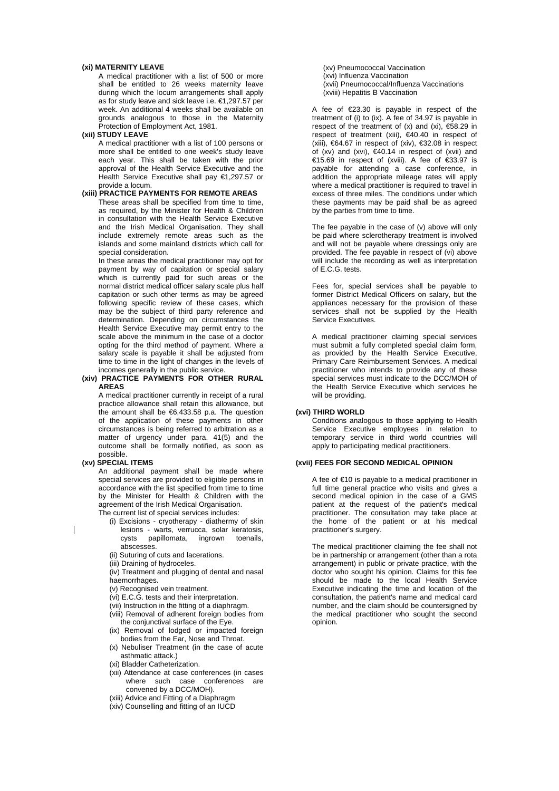### **(xi) MATERNITY LEAVE**

A medical practitioner with a list of 500 or more shall be entitled to 26 weeks maternity leave during which the locum arrangements shall apply as for study leave and sick leave i.e. €1,297.57 per week. An additional 4 weeks shall be available on grounds analogous to those in the Maternity Protection of Employment Act, 1981.

### **(xii) STUDY LEAVE**

A medical practitioner with a list of 100 persons or more shall be entitled to one week's study leave each year. This shall be taken with the prior approval of the Health Service Executive and the Health Service Executive shall pay €1,297.57 or provide a locum.

## **(xiii) PRACTICE PAYMENTS FOR REMOTE AREAS**

These areas shall be specified from time to time, as required, by the Minister for Health & Children in consultation with the Health Service Executive and the Irish Medical Organisation. They shall include extremely remote areas such as the islands and some mainland districts which call for special consideration.

In these areas the medical practitioner may opt for payment by way of capitation or special salary which is currently paid for such areas or the normal district medical officer salary scale plus half capitation or such other terms as may be agreed following specific review of these cases, which may be the subject of third party reference and determination. Depending on circumstances the Health Service Executive may permit entry to the scale above the minimum in the case of a doctor opting for the third method of payment. Where a salary scale is payable it shall be adjusted from time to time in the light of changes in the levels of incomes generally in the public service.

### **(xiv) PRACTICE PAYMENTS FOR OTHER RURAL AREAS**

A medical practitioner currently in receipt of a rural practice allowance shall retain this allowance, but the amount shall be  $6,433.58$  p.a. The question of the application of these payments in other circumstances is being referred to arbitration as a matter of urgency under para. 41(5) and the outcome shall be formally notified, as soon as possible.

## **(xv) SPECIAL ITEMS**

An additional payment shall be made where special services are provided to eligible persons in accordance with the list specified from time to time by the Minister for Health & Children with the agreement of the Irish Medical Organisation. The current list of special services includes:

(i) Excisions - cryotherapy - diathermy of skin

- lesions warts, verrucca, solar keratosis, cysts papillomata, ingrown toenails, abscesses.
- (ii) Suturing of cuts and lacerations.
- (iii) Draining of hydroceles.
- (iv) Treatment and plugging of dental and nasal haemorrhages.
- (v) Recognised vein treatment.
- (vi) E.C.G. tests and their interpretation.
- (vii) Instruction in the fitting of a diaphragm.
- (viii) Removal of adherent foreign bodies from the conjunctival surface of the Eye.
- (ix) Removal of lodged or impacted foreign bodies from the Ear, Nose and Throat.
- (x) Nebuliser Treatment (in the case of acute asthmatic attack.)
- (xi) Bladder Catheterization.
- (xii) Attendance at case conferences (in cases where such case conferences are convened by a DCC/MOH).
- (xiii) Advice and Fitting of a Diaphragm
- (xiv) Counselling and fitting of an IUCD

(xv) Pneumococcal Vaccination (xvi) Influenza Vaccination (xvii) Pneumococcal/Influenza Vaccinations (xviii) Hepatitis B Vaccination

A fee of €23.30 is payable in respect of the treatment of (i) to (ix). A fee of 34.97 is payable in respect of the treatment of  $(x)$  and  $(xi)$ ,  $\epsilon$ 58.29 in respect of treatment (xiii), €40.40 in respect of (xiii),  $€64.67$  in respect of (xiv),  $€32.08$  in respect of (xv) and (xvi), €40.14 in respect of (xvii) and €15.69 in respect of (xviii). A fee of €33.97 is payable for attending a case conference, in addition the appropriate mileage rates will apply where a medical practitioner is required to travel in excess of three miles. The conditions under which these payments may be paid shall be as agreed by the parties from time to time.

The fee payable in the case of (v) above will only be paid where sclerotherapy treatment is involved and will not be payable where dressings only are provided. The fee payable in respect of (vi) above will include the recording as well as interpretation of E.C.G. tests.

Fees for, special services shall be payable to former District Medical Officers on salary, but the appliances necessary for the provision of these services shall not be supplied by the Health Service Executives.

A medical practitioner claiming special services must submit a fully completed special claim form, as provided by the Health Service Executive, Primary Care Reimbursement Services. A medical practitioner who intends to provide any of these special services must indicate to the DCC/MOH of the Health Service Executive which services he will be providing.

## **(xvi) THIRD WORLD**

Conditions analogous to those applying to Health Service Executive employees in relation to temporary service in third world countries will apply to participating medical practitioners.

## **(xvii) FEES FOR SECOND MEDICAL OPINION**

A fee of €10 is payable to a medical practitioner in full time general practice who visits and gives a second medical opinion in the case of a GMS patient at the request of the patient's medical practitioner. The consultation may take place at the home of the patient or at his medical practitioner's surgery.

The medical practitioner claiming the fee shall not be in partnership or arrangement (other than a rota arrangement) in public or private practice, with the doctor who sought his opinion. Claims for this fee should be made to the local Health Service Executive indicating the time and location of the consultation, the patient's name and medical card number, and the claim should be countersigned by the medical practitioner who sought the second opinion.